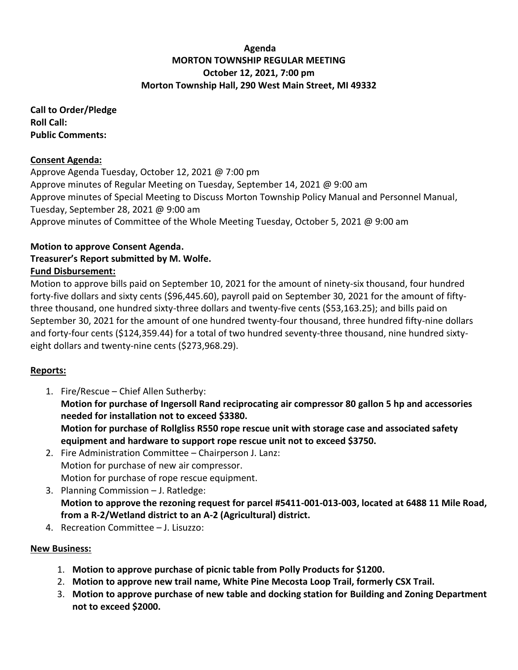### **Agenda MORTON TOWNSHIP REGULAR MEETING October 12, 2021, 7:00 pm Morton Township Hall, 290 West Main Street, MI 49332**

**Call to Order/Pledge Roll Call: Public Comments:** 

#### **Consent Agenda:**

Approve Agenda Tuesday, October 12, 2021 @ 7:00 pm Approve minutes of Regular Meeting on Tuesday, September 14, 2021 @ 9:00 am Approve minutes of Special Meeting to Discuss Morton Township Policy Manual and Personnel Manual, Tuesday, September 28, 2021 @ 9:00 am Approve minutes of Committee of the Whole Meeting Tuesday, October 5, 2021 @ 9:00 am

# **Motion to approve Consent Agenda.**

# **Treasurer's Report submitted by M. Wolfe.**

### **Fund Disbursement:**

Motion to approve bills paid on September 10, 2021 for the amount of ninety-six thousand, four hundred forty-five dollars and sixty cents (\$96,445.60), payroll paid on September 30, 2021 for the amount of fiftythree thousand, one hundred sixty-three dollars and twenty-five cents (\$53,163.25); and bills paid on September 30, 2021 for the amount of one hundred twenty-four thousand, three hundred fifty-nine dollars and forty-four cents (\$124,359.44) for a total of two hundred seventy-three thousand, nine hundred sixtyeight dollars and twenty-nine cents (\$273,968.29).

## **Reports:**

- 1. Fire/Rescue Chief Allen Sutherby: **Motion for purchase of Ingersoll Rand reciprocating air compressor 80 gallon 5 hp and accessories needed for installation not to exceed \$3380. Motion for purchase of Rollgliss R550 rope rescue unit with storage case and associated safety equipment and hardware to support rope rescue unit not to exceed \$3750.**
- 2. Fire Administration Committee Chairperson J. Lanz: Motion for purchase of new air compressor. Motion for purchase of rope rescue equipment.
- 3. Planning Commission J. Ratledge: **Motion to approve the rezoning request for parcel #5411-001-013-003, located at 6488 11 Mile Road, from a R-2/Wetland district to an A-2 (Agricultural) district.**
- 4. Recreation Committee J. Lisuzzo:

## **New Business:**

- 1. **Motion to approve purchase of picnic table from Polly Products for \$1200.**
- 2. **Motion to approve new trail name, White Pine Mecosta Loop Trail, formerly CSX Trail.**
- 3. **Motion to approve purchase of new table and docking station for Building and Zoning Department not to exceed \$2000.**